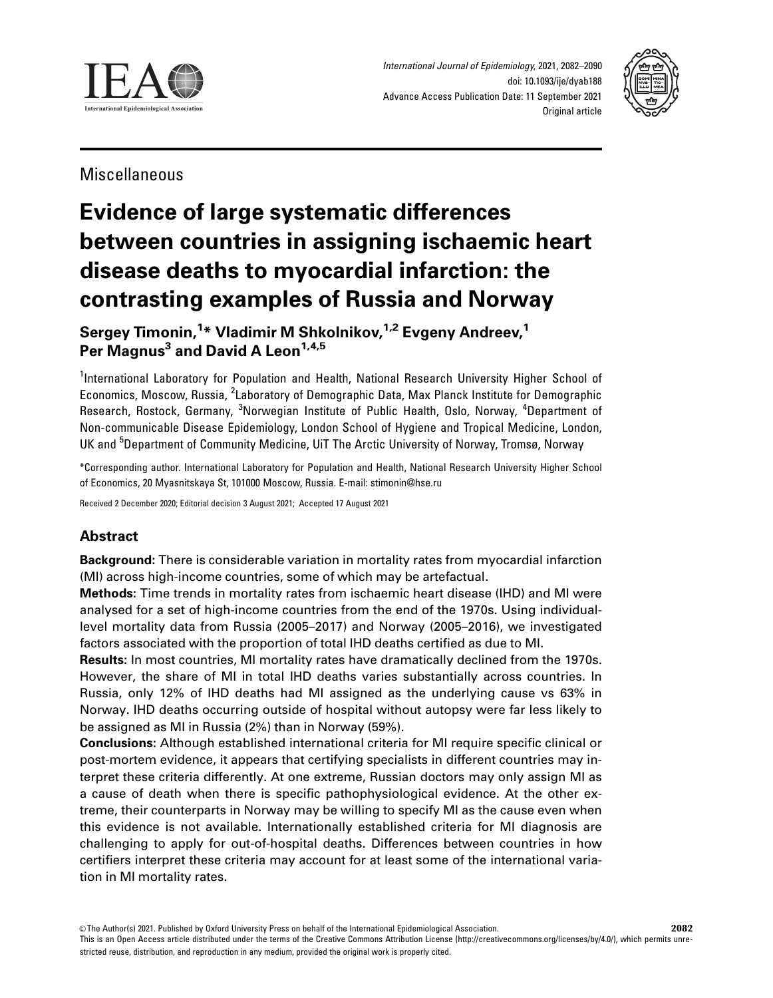



Miscellaneous

# Evidence of large systematic differences between countries in assigning ischaemic heart disease deaths to myocardial infarction: the contrasting examples of Russia and Norway

Sergey Timonin,<sup>1</sup>\* Vladimir M Shkolnikov,<sup>1,2</sup> Evgeny Andreev,<sup>1</sup> Per Magnus<sup>3</sup> and David A Leon<sup>1,4,5</sup>

<sup>1</sup>International Laboratory for Population and Health, National Research University Higher School of Economics, Moscow, Russia, <sup>2</sup>Laboratory of Demographic Data, Max Planck Institute for Demographic Research, Rostock, Germany, <sup>3</sup>Norwegian Institute of Public Health, Oslo, Norway, <sup>4</sup>Department of Non-communicable Disease Epidemiology, London School of Hygiene and Tropical Medicine, London, UK and <sup>5</sup>Department of Community Medicine, UiT The Arctic University of Norway, Tromsø, Norway

\*Corresponding author. International Laboratory for Population and Health, National Research University Higher School of Economics, 20 Myasnitskaya St, 101000 Moscow, Russia. E-mail: stimonin@hse.ru

Received 2 December 2020; Editorial decision 3 August 2021; Accepted 17 August 2021

# Abstract

Background: There is considerable variation in mortality rates from myocardial infarction (MI) across high-income countries, some of which may be artefactual.

Methods: Time trends in mortality rates from ischaemic heart disease (IHD) and MI were analysed for a set of high-income countries from the end of the 1970s. Using individuallevel mortality data from Russia (2005–2017) and Norway (2005–2016), we investigated factors associated with the proportion of total IHD deaths certified as due to MI.

Results: In most countries, MI mortality rates have dramatically declined from the 1970s. However, the share of MI in total IHD deaths varies substantially across countries. In Russia, only 12% of IHD deaths had MI assigned as the underlying cause vs 63% in Norway. IHD deaths occurring outside of hospital without autopsy were far less likely to be assigned as MI in Russia (2%) than in Norway (59%).

Conclusions: Although established international criteria for MI require specific clinical or post-mortem evidence, it appears that certifying specialists in different countries may interpret these criteria differently. At one extreme, Russian doctors may only assign MI as a cause of death when there is specific pathophysiological evidence. At the other extreme, their counterparts in Norway may be willing to specify MI as the cause even when this evidence is not available. Internationally established criteria for MI diagnosis are challenging to apply for out-of-hospital deaths. Differences between countries in how certifiers interpret these criteria may account for at least some of the international variation in MI mortality rates.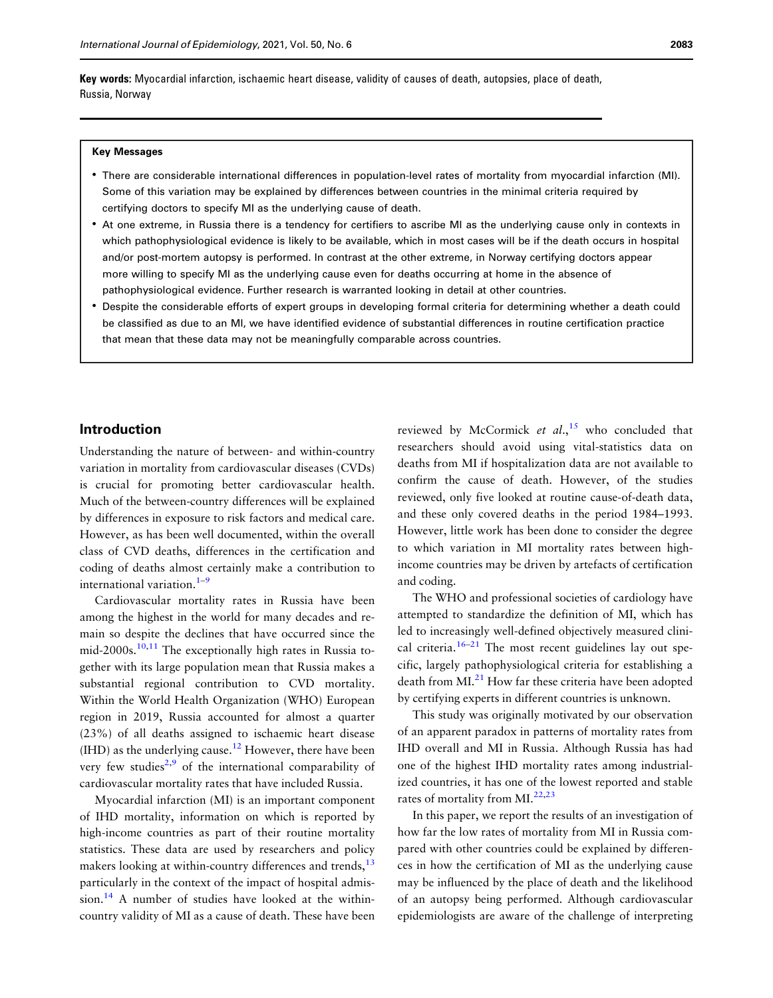<span id="page-1-0"></span>Key words: Myocardial infarction, ischaemic heart disease, validity of causes of death, autopsies, place of death, Russia, Norway

#### Key Messages

- There are considerable international differences in population-level rates of mortality from myocardial infarction (MI). Some of this variation may be explained by differences between countries in the minimal criteria required by certifying doctors to specify MI as the underlying cause of death.
- At one extreme, in Russia there is a tendency for certifiers to ascribe MI as the underlying cause only in contexts in which pathophysiological evidence is likely to be available, which in most cases will be if the death occurs in hospital and/or post-mortem autopsy is performed. In contrast at the other extreme, in Norway certifying doctors appear more willing to specify MI as the underlying cause even for deaths occurring at home in the absence of pathophysiological evidence. Further research is warranted looking in detail at other countries.
- Despite the considerable efforts of expert groups in developing formal criteria for determining whether a death could be classified as due to an MI, we have identified evidence of substantial differences in routine certification practice that mean that these data may not be meaningfully comparable across countries.

# Introduction

Understanding the nature of between- and within-country variation in mortality from cardiovascular diseases (CVDs) is crucial for promoting better cardiovascular health. Much of the between-country differences will be explained by differences in exposure to risk factors and medical care. However, as has been well documented, within the overall class of CVD deaths, differences in the certification and coding of deaths almost certainly make a contribution to international variation.<sup>1-[9](#page-7-0)</sup>

Cardiovascular mortality rates in Russia have been among the highest in the world for many decades and remain so despite the declines that have occurred since the mid-2000s.<sup>10,11</sup> The exceptionally high rates in Russia together with its large population mean that Russia makes a substantial regional contribution to CVD mortality. Within the World Health Organization (WHO) European region in 2019, Russia accounted for almost a quarter (23%) of all deaths assigned to ischaemic heart disease  $(HID)$  as the underlying cause.<sup>[12](#page-7-0)</sup> However, there have been very few studies<sup>2,9</sup> of the international comparability of cardiovascular mortality rates that have included Russia.

Myocardial infarction (MI) is an important component of IHD mortality, information on which is reported by high-income countries as part of their routine mortality statistics. These data are used by researchers and policy makers looking at within-country differences and trends,<sup>[13](#page-7-0)</sup> particularly in the context of the impact of hospital admis $sion.<sup>14</sup>$  A number of studies have looked at the withincountry validity of MI as a cause of death. These have been

reviewed by McCormick et  $al$ ,  $15$  who concluded that researchers should avoid using vital-statistics data on deaths from MI if hospitalization data are not available to confirm the cause of death. However, of the studies reviewed, only five looked at routine cause-of-death data, and these only covered deaths in the period 1984–1993. However, little work has been done to consider the degree to which variation in MI mortality rates between highincome countries may be driven by artefacts of certification and coding.

The WHO and professional societies of cardiology have attempted to standardize the definition of MI, which has led to increasingly well-defined objectively measured clini-cal criteria.<sup>[16](#page-7-0)–[21](#page-8-0)</sup> The most recent guidelines lay out specific, largely pathophysiological criteria for establishing a death from MI.<sup>21</sup> How far these criteria have been adopted by certifying experts in different countries is unknown.

This study was originally motivated by our observation of an apparent paradox in patterns of mortality rates from IHD overall and MI in Russia. Although Russia has had one of the highest IHD mortality rates among industrialized countries, it has one of the lowest reported and stable rates of mortality from MI.<sup>[22,23](#page-8-0)</sup>

In this paper, we report the results of an investigation of how far the low rates of mortality from MI in Russia compared with other countries could be explained by differences in how the certification of MI as the underlying cause may be influenced by the place of death and the likelihood of an autopsy being performed. Although cardiovascular epidemiologists are aware of the challenge of interpreting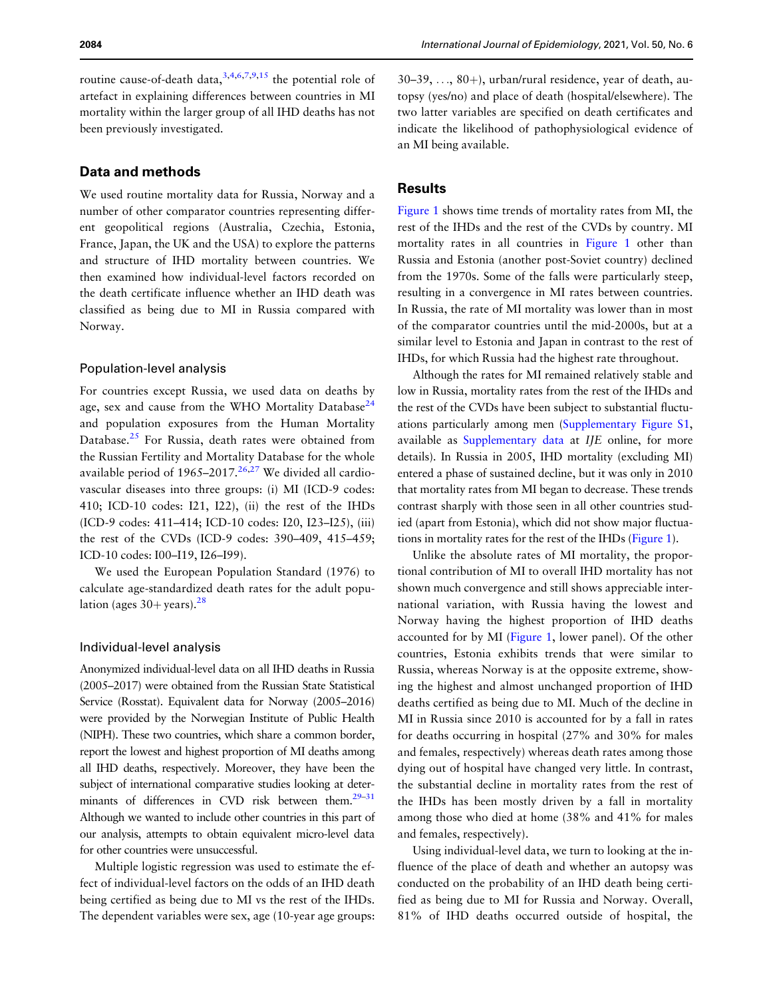<span id="page-2-0"></span>routine cause-of-death data,  $3,4,6,7,9,15$  the potential role of artefact in explaining differences between countries in MI mortality within the larger group of all IHD deaths has not been previously investigated.

# Data and methods

We used routine mortality data for Russia, Norway and a number of other comparator countries representing different geopolitical regions (Australia, Czechia, Estonia, France, Japan, the UK and the USA) to explore the patterns and structure of IHD mortality between countries. We then examined how individual-level factors recorded on the death certificate influence whether an IHD death was classified as being due to MI in Russia compared with Norway.

#### Population-level analysis

For countries except Russia, we used data on deaths by age, sex and cause from the WHO Mortality Database<sup>24</sup> and population exposures from the Human Mortality Database.<sup>[25](#page-8-0)</sup> For Russia, death rates were obtained from the Russian Fertility and Mortality Database for the whole available period of  $1965-2017<sup>26,27</sup>$  $1965-2017<sup>26,27</sup>$  $1965-2017<sup>26,27</sup>$  We divided all cardiovascular diseases into three groups: (i) MI (ICD-9 codes: 410; ICD-10 codes: I21, I22), (ii) the rest of the IHDs (ICD-9 codes: 411–414; ICD-10 codes: I20, I23–I25), (iii) the rest of the CVDs (ICD-9 codes: 390–409, 415–459; ICD-10 codes: I00–I19, I26–I99).

We used the European Population Standard (1976) to calculate age-standardized death rates for the adult population (ages  $30+$  years).<sup>[28](#page-8-0)</sup>

# Individual-level analysis

Anonymized individual-level data on all IHD deaths in Russia (2005–2017) were obtained from the Russian State Statistical Service (Rosstat). Equivalent data for Norway (2005–2016) were provided by the Norwegian Institute of Public Health (NIPH). These two countries, which share a common border, report the lowest and highest proportion of MI deaths among all IHD deaths, respectively. Moreover, they have been the subject of international comparative studies looking at determinants of differences in CVD risk between them.<sup>29-31</sup> Although we wanted to include other countries in this part of our analysis, attempts to obtain equivalent micro-level data for other countries were unsuccessful.

Multiple logistic regression was used to estimate the effect of individual-level factors on the odds of an IHD death being certified as being due to MI vs the rest of the IHDs. The dependent variables were sex, age (10-year age groups:

 $30-39, \ldots, 80+)$ , urban/rural residence, year of death, autopsy (yes/no) and place of death (hospital/elsewhere). The two latter variables are specified on death certificates and indicate the likelihood of pathophysiological evidence of an MI being available.

#### Results

[Figure 1](#page-3-0) shows time trends of mortality rates from MI, the rest of the IHDs and the rest of the CVDs by country. MI mortality rates in all countries in [Figure 1](#page-3-0) other than Russia and Estonia (another post-Soviet country) declined from the 1970s. Some of the falls were particularly steep, resulting in a convergence in MI rates between countries. In Russia, the rate of MI mortality was lower than in most of the comparator countries until the mid-2000s, but at a similar level to Estonia and Japan in contrast to the rest of IHDs, for which Russia had the highest rate throughout.

Although the rates for MI remained relatively stable and low in Russia, mortality rates from the rest of the IHDs and the rest of the CVDs have been subject to substantial fluctuations particularly among men [\(Supplementary Figure S1,](https://academic.oup.com/ije/article-lookup/doi/10.1093/ije/dyab188#supplementary-data) available as [Supplementary data](https://academic.oup.com/ije/article-lookup/doi/10.1093/ije/dyab188#supplementary-data) at IJE online, for more details). In Russia in 2005, IHD mortality (excluding MI) entered a phase of sustained decline, but it was only in 2010 that mortality rates from MI began to decrease. These trends contrast sharply with those seen in all other countries studied (apart from Estonia), which did not show major fluctuations in mortality rates for the rest of the IHDs ([Figure 1\)](#page-3-0).

Unlike the absolute rates of MI mortality, the proportional contribution of MI to overall IHD mortality has not shown much convergence and still shows appreciable international variation, with Russia having the lowest and Norway having the highest proportion of IHD deaths accounted for by MI [\(Figure 1,](#page-3-0) lower panel). Of the other countries, Estonia exhibits trends that were similar to Russia, whereas Norway is at the opposite extreme, showing the highest and almost unchanged proportion of IHD deaths certified as being due to MI. Much of the decline in MI in Russia since 2010 is accounted for by a fall in rates for deaths occurring in hospital (27% and 30% for males and females, respectively) whereas death rates among those dying out of hospital have changed very little. In contrast, the substantial decline in mortality rates from the rest of the IHDs has been mostly driven by a fall in mortality among those who died at home (38% and 41% for males and females, respectively).

Using individual-level data, we turn to looking at the influence of the place of death and whether an autopsy was conducted on the probability of an IHD death being certified as being due to MI for Russia and Norway. Overall, 81% of IHD deaths occurred outside of hospital, the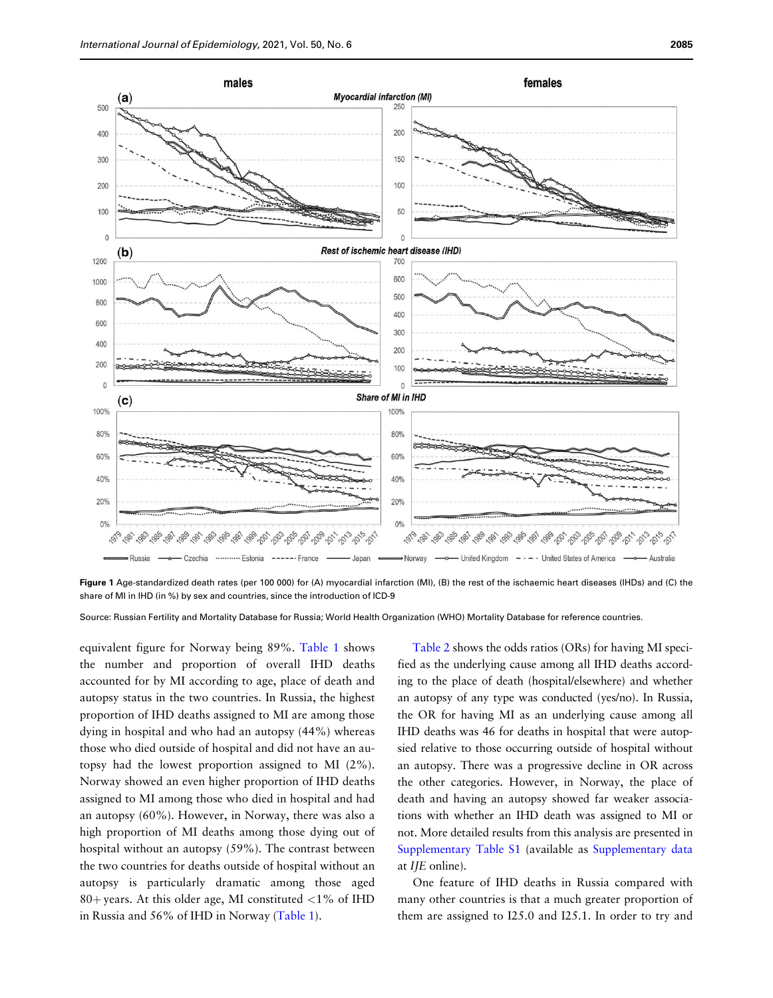<span id="page-3-0"></span>

Figure 1 Age-standardized death rates (per 100 000) for (A) myocardial infarction (MI), (B) the rest of the ischaemic heart diseases (IHDs) and (C) the share of MI in IHD (in %) by sex and countries, since the introduction of ICD-9

Source: Russian Fertility and Mortality Database for Russia; World Health Organization (WHO) Mortality Database for reference countries.

equivalent figure for Norway being 89%. Table 1 shows the number and proportion of overall IHD deaths accounted for by MI according to age, place of death and autopsy status in the two countries. In Russia, the highest proportion of IHD deaths assigned to MI are among those dying in hospital and who had an autopsy (44%) whereas those who died outside of hospital and did not have an autopsy had the lowest proportion assigned to MI (2%). Norway showed an even higher proportion of IHD deaths assigned to MI among those who died in hospital and had an autopsy (60%). However, in Norway, there was also a high proportion of MI deaths among those dying out of hospital without an autopsy (59%). The contrast between the two countries for deaths outside of hospital without an autopsy is particularly dramatic among those aged 80+ years. At this older age, MI constituted  $<$ 1% of IHD in Russia and 56% of IHD in Norway (Table 1).

[Table 2](#page-4-0) shows the odds ratios (ORs) for having MI specified as the underlying cause among all IHD deaths according to the place of death (hospital/elsewhere) and whether an autopsy of any type was conducted (yes/no). In Russia, the OR for having MI as an underlying cause among all IHD deaths was 46 for deaths in hospital that were autopsied relative to those occurring outside of hospital without an autopsy. There was a progressive decline in OR across the other categories. However, in Norway, the place of death and having an autopsy showed far weaker associations with whether an IHD death was assigned to MI or not. More detailed results from this analysis are presented in [Supplementary Table S1](https://academic.oup.com/ije/article-lookup/doi/10.1093/ije/dyab188#supplementary-data) (available as [Supplementary data](https://academic.oup.com/ije/article-lookup/doi/10.1093/ije/dyab188#supplementary-data) at IJE online).

One feature of IHD deaths in Russia compared with many other countries is that a much greater proportion of them are assigned to I25.0 and I25.1. In order to try and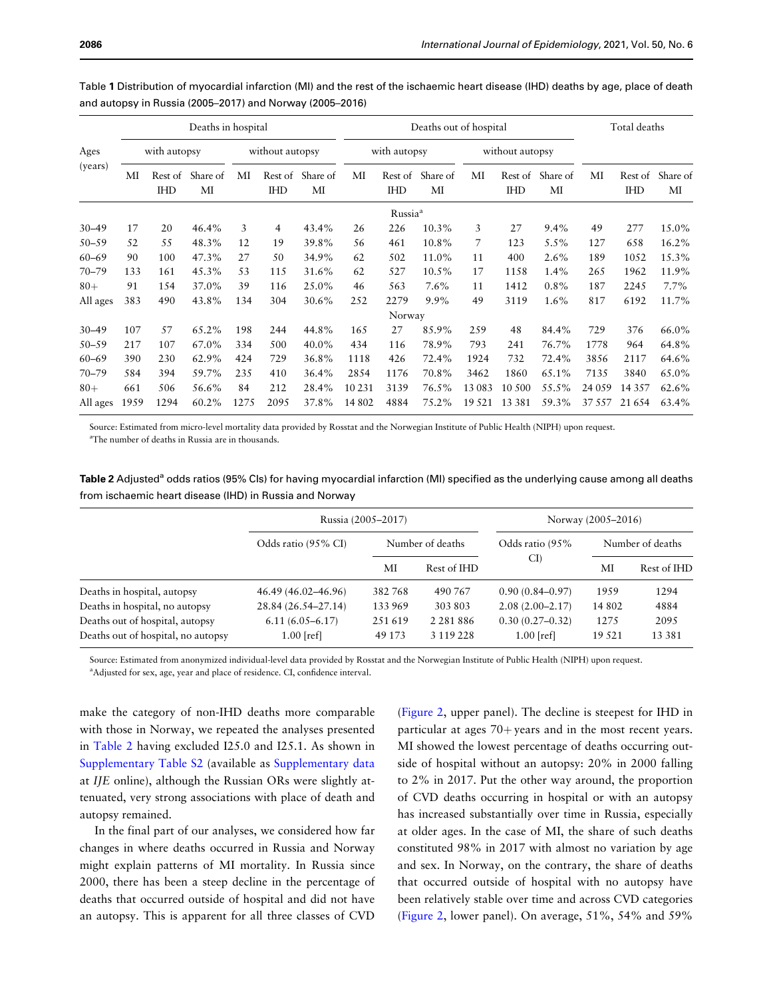| Ages<br>(years) | Deaths in hospital |                       |                |                 |                       |                | Deaths out of hospital |                       |                |                 |                       | Total deaths   |        |                       |                |
|-----------------|--------------------|-----------------------|----------------|-----------------|-----------------------|----------------|------------------------|-----------------------|----------------|-----------------|-----------------------|----------------|--------|-----------------------|----------------|
|                 | with autopsy       |                       |                | without autopsy |                       |                | with autopsy           |                       |                | without autopsy |                       |                |        |                       |                |
|                 | MI                 | Rest of<br><b>IHD</b> | Share of<br>MI | МI              | Rest of<br><b>IHD</b> | Share of<br>МI | MI                     | Rest of<br><b>IHD</b> | Share of<br>MI | MI              | Rest of<br><b>IHD</b> | Share of<br>MI | МI     | Rest of<br><b>IHD</b> | Share of<br>MI |
|                 |                    |                       |                |                 |                       |                |                        | Russia <sup>a</sup>   |                |                 |                       |                |        |                       |                |
| $30 - 49$       | 17                 | 20                    | 46.4%          | 3               | 4                     | 43.4%          | 26                     | 226                   | 10.3%          | 3               | 27                    | 9.4%           | 49     | 277                   | 15.0%          |
| $50 - 59$       | 52                 | 55                    | 48.3%          | 12              | 19                    | 39.8%          | 56                     | 461                   | 10.8%          | 7               | 123                   | 5.5%           | 127    | 658                   | 16.2%          |
| $60 - 69$       | 90                 | 100                   | 47.3%          | 27              | 50                    | 34.9%          | 62                     | 502                   | 11.0%          | 11              | 400                   | 2.6%           | 189    | 1052                  | 15.3%          |
| $70 - 79$       | 133                | 161                   | 45.3%          | 53              | 115                   | 31.6%          | 62                     | 527                   | 10.5%          | 17              | 1158                  | 1.4%           | 265    | 1962                  | 11.9%          |
| $80+$           | 91                 | 154                   | 37.0%          | 39              | 116                   | 25.0%          | 46                     | 563                   | $7.6\%$        | 11              | 1412                  | $0.8\%$        | 187    | 2245                  | 7.7%           |
| All ages        | 383                | 490                   | 43.8%          | 134             | 304                   | 30.6%          | 252                    | 2279                  | $9.9\%$        | 49              | 3119                  | 1.6%           | 817    | 6192                  | 11.7%          |
|                 |                    |                       |                |                 |                       |                |                        | Norway                |                |                 |                       |                |        |                       |                |
| $30 - 49$       | 107                | 57                    | 65.2%          | 198             | 244                   | 44.8%          | 165                    | 27                    | 85.9%          | 259             | 48                    | 84.4%          | 729    | 376                   | 66.0%          |
| $50 - 59$       | 217                | 107                   | 67.0%          | 334             | 500                   | 40.0%          | 434                    | 116                   | 78.9%          | 793             | 241                   | 76.7%          | 1778   | 964                   | 64.8%          |
| $60 - 69$       | 390                | 230                   | 62.9%          | 424             | 729                   | 36.8%          | 1118                   | 426                   | 72.4%          | 1924            | 732                   | 72.4%          | 3856   | 2117                  | 64.6%          |
| $70 - 79$       | 584                | 394                   | 59.7%          | 235             | 410                   | 36.4%          | 2854                   | 1176                  | 70.8%          | 3462            | 1860                  | 65.1%          | 7135   | 3840                  | 65.0%          |
| $80+$           | 661                | 506                   | 56.6%          | 84              | 212                   | 28.4%          | 10 2 31                | 3139                  | 76.5%          | 13 083          | 10 500                | 55.5%          | 24 059 | 14 3 5 7              | 62.6%          |
| All ages        | 1959               | 1294                  | 60.2%          | 1275            | 2095                  | 37.8%          | 14 802                 | 4884                  | 75.2%          | 19 5 21         | 13 3 8 1              | 59.3%          | 37 557 | 21 6 5 4              | 63.4%          |

<span id="page-4-0"></span>Table 1 Distribution of myocardial infarction (MI) and the rest of the ischaemic heart disease (IHD) deaths by age, place of death and autopsy in Russia (2005–2017) and Norway (2005–2016)

Source: Estimated from micro-level mortality data provided by Rosstat and the Norwegian Institute of Public Health (NIPH) upon request. a The number of deaths in Russia are in thousands.

| Table 2 Adjusted <sup>a</sup> odds ratios (95% Cls) for having myocardial infarction (MI) specified as the underlying cause among all deaths |
|----------------------------------------------------------------------------------------------------------------------------------------------|
| from ischaemic heart disease (IHD) in Russia and Norway                                                                                      |

|                                    | Russia (2005–2017)  | Norway (2005–2016) |                  |                     |                  |             |
|------------------------------------|---------------------|--------------------|------------------|---------------------|------------------|-------------|
|                                    | Odds ratio (95% CI) |                    | Number of deaths | Odds ratio (95%     | Number of deaths |             |
|                                    |                     | МI                 | Rest of IHD      | CI)                 | MI               | Rest of IHD |
| Deaths in hospital, autopsy        | 46.49 (46.02–46.96) | 382768             | 490 767          | $0.90(0.84 - 0.97)$ | 1959             | 1294        |
| Deaths in hospital, no autopsy     | 28.84 (26.54-27.14) | 133969             | 303 803          | $2.08(2.00-2.17)$   | 14 802           | 4884        |
| Deaths out of hospital, autopsy    | $6.11(6.05 - 6.17)$ | 251619             | 2 2 8 1 8 8 6    | $0.30(0.27-0.32)$   | 1275             | 2095        |
| Deaths out of hospital, no autopsy | $1.00$ [ref]        | 49 173             | 3 119 228        | $1.00$ [ref]        | 19521            | 13 3 8 1    |

Source: Estimated from anonymized individual-level data provided by Rosstat and the Norwegian Institute of Public Health (NIPH) upon request.

<sup>a</sup>Adjusted for sex, age, year and place of residence. CI, confidence interval.

make the category of non-IHD deaths more comparable with those in Norway, we repeated the analyses presented in Table 2 having excluded I25.0 and I25.1. As shown in [Supplementary Table S2](https://academic.oup.com/ije/article-lookup/doi/10.1093/ije/dyab188#supplementary-data) (available as [Supplementary data](https://academic.oup.com/ije/article-lookup/doi/10.1093/ije/dyab188#supplementary-data) at IJE online), although the Russian ORs were slightly attenuated, very strong associations with place of death and autopsy remained.

In the final part of our analyses, we considered how far changes in where deaths occurred in Russia and Norway might explain patterns of MI mortality. In Russia since 2000, there has been a steep decline in the percentage of deaths that occurred outside of hospital and did not have an autopsy. This is apparent for all three classes of CVD

[\(Figure 2](#page-5-0), upper panel). The decline is steepest for IHD in particular at ages  $70+$  years and in the most recent years. MI showed the lowest percentage of deaths occurring outside of hospital without an autopsy: 20% in 2000 falling to 2% in 2017. Put the other way around, the proportion of CVD deaths occurring in hospital or with an autopsy has increased substantially over time in Russia, especially at older ages. In the case of MI, the share of such deaths constituted 98% in 2017 with almost no variation by age and sex. In Norway, on the contrary, the share of deaths that occurred outside of hospital with no autopsy have been relatively stable over time and across CVD categories [\(Figure 2](#page-5-0), lower panel). On average, 51%, 54% and 59%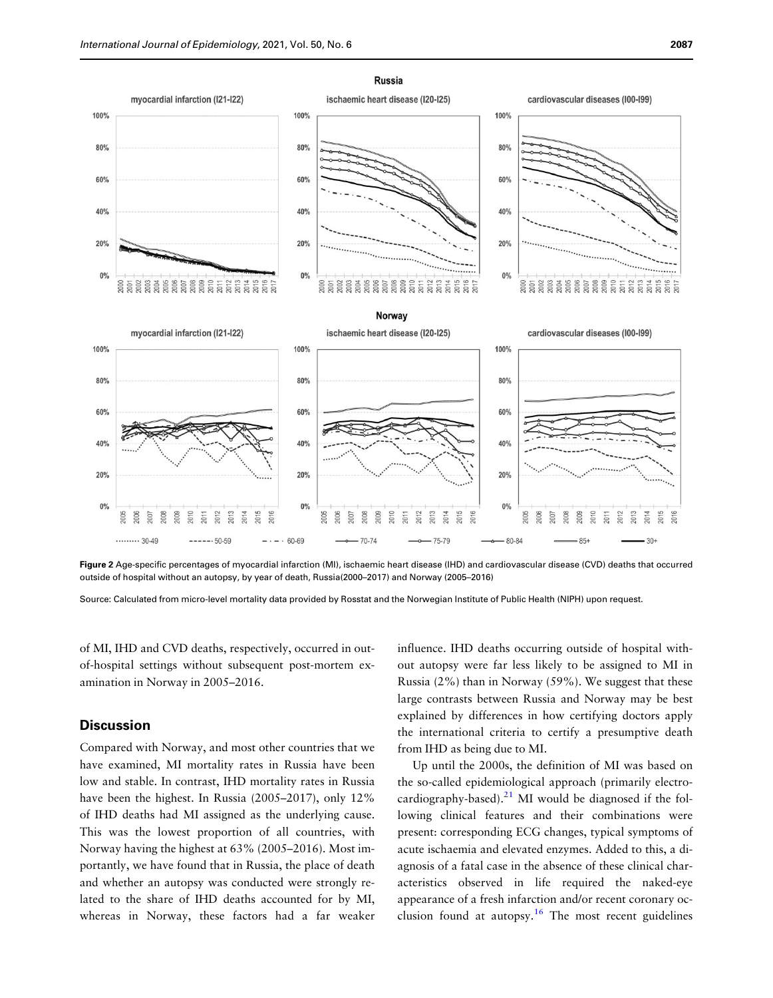<span id="page-5-0"></span>

Figure 2 Age-specific percentages of myocardial infarction (MI), ischaemic heart disease (IHD) and cardiovascular disease (CVD) deaths that occurred outside of hospital without an autopsy, by year of death, Russia(2000–2017) and Norway (2005–2016)

Source: Calculated from micro-level mortality data provided by Rosstat and the Norwegian Institute of Public Health (NIPH) upon request.

of MI, IHD and CVD deaths, respectively, occurred in outof-hospital settings without subsequent post-mortem examination in Norway in 2005–2016.

# **Discussion**

Compared with Norway, and most other countries that we have examined, MI mortality rates in Russia have been low and stable. In contrast, IHD mortality rates in Russia have been the highest. In Russia (2005–2017), only 12% of IHD deaths had MI assigned as the underlying cause. This was the lowest proportion of all countries, with Norway having the highest at 63% (2005–2016). Most importantly, we have found that in Russia, the place of death and whether an autopsy was conducted were strongly related to the share of IHD deaths accounted for by MI, whereas in Norway, these factors had a far weaker influence. IHD deaths occurring outside of hospital without autopsy were far less likely to be assigned to MI in Russia (2%) than in Norway (59%). We suggest that these large contrasts between Russia and Norway may be best explained by differences in how certifying doctors apply the international criteria to certify a presumptive death from IHD as being due to MI.

Up until the 2000s, the definition of MI was based on the so-called epidemiological approach (primarily electrocardiography-based). $^{21}$  MI would be diagnosed if the following clinical features and their combinations were present: corresponding ECG changes, typical symptoms of acute ischaemia and elevated enzymes. Added to this, a diagnosis of a fatal case in the absence of these clinical characteristics observed in life required the naked-eye appearance of a fresh infarction and/or recent coronary occlusion found at autopsy.<sup>16</sup> The most recent guidelines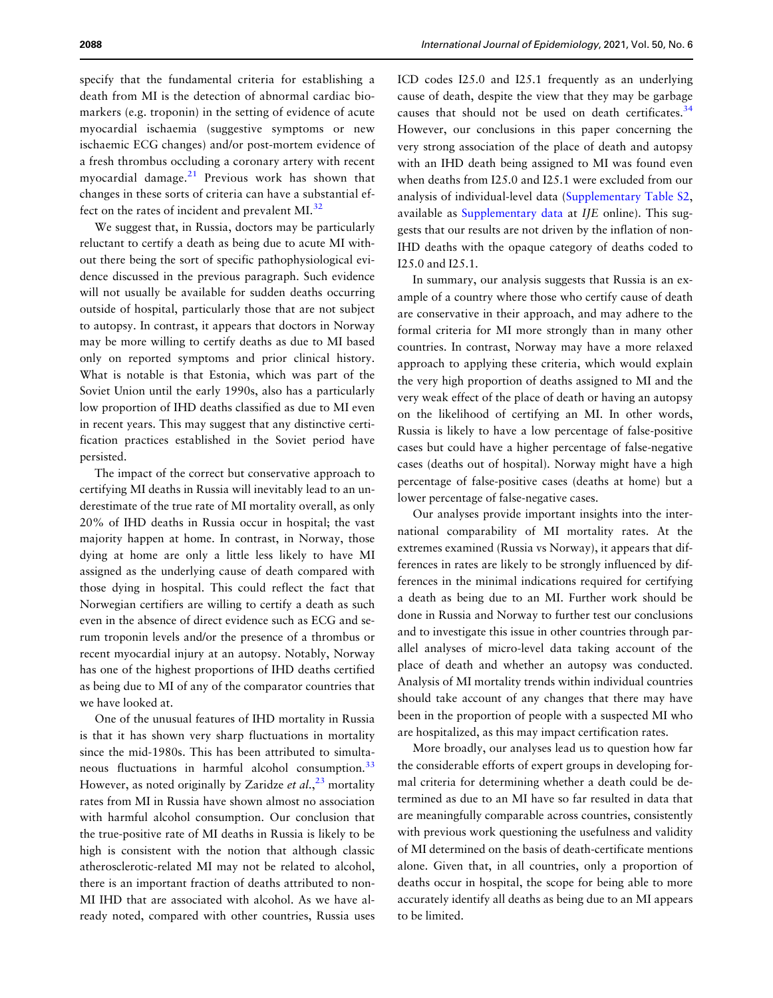specify that the fundamental criteria for establishing a death from MI is the detection of abnormal cardiac biomarkers (e.g. troponin) in the setting of evidence of acute myocardial ischaemia (suggestive symptoms or new ischaemic ECG changes) and/or post-mortem evidence of a fresh thrombus occluding a coronary artery with recent myocardial damage. $21$  Previous work has shown that changes in these sorts of criteria can have a substantial ef-fect on the rates of incident and prevalent MI.<sup>[32](#page-8-0)</sup>

We suggest that, in Russia, doctors may be particularly reluctant to certify a death as being due to acute MI without there being the sort of specific pathophysiological evidence discussed in the previous paragraph. Such evidence will not usually be available for sudden deaths occurring outside of hospital, particularly those that are not subject to autopsy. In contrast, it appears that doctors in Norway may be more willing to certify deaths as due to MI based only on reported symptoms and prior clinical history. What is notable is that Estonia, which was part of the Soviet Union until the early 1990s, also has a particularly low proportion of IHD deaths classified as due to MI even in recent years. This may suggest that any distinctive certification practices established in the Soviet period have persisted.

The impact of the correct but conservative approach to certifying MI deaths in Russia will inevitably lead to an underestimate of the true rate of MI mortality overall, as only 20% of IHD deaths in Russia occur in hospital; the vast majority happen at home. In contrast, in Norway, those dying at home are only a little less likely to have MI assigned as the underlying cause of death compared with those dying in hospital. This could reflect the fact that Norwegian certifiers are willing to certify a death as such even in the absence of direct evidence such as ECG and serum troponin levels and/or the presence of a thrombus or recent myocardial injury at an autopsy. Notably, Norway has one of the highest proportions of IHD deaths certified as being due to MI of any of the comparator countries that we have looked at.

One of the unusual features of IHD mortality in Russia is that it has shown very sharp fluctuations in mortality since the mid-1980s. This has been attributed to simultaneous fluctuations in harmful alcohol consumption.<sup>33</sup> However, as noted originally by Zaridze et al.,  $^{23}$  $^{23}$  $^{23}$  mortality rates from MI in Russia have shown almost no association with harmful alcohol consumption. Our conclusion that the true-positive rate of MI deaths in Russia is likely to be high is consistent with the notion that although classic atherosclerotic-related MI may not be related to alcohol, there is an important fraction of deaths attributed to non-MI IHD that are associated with alcohol. As we have already noted, compared with other countries, Russia uses

<span id="page-6-0"></span>2088 International Journal of Epidemiology, 2021, Vol. 50, No. 6

ICD codes I25.0 and I25.1 frequently as an underlying cause of death, despite the view that they may be garbage causes that should not be used on death certificates. $34$ However, our conclusions in this paper concerning the very strong association of the place of death and autopsy with an IHD death being assigned to MI was found even when deaths from I25.0 and I25.1 were excluded from our analysis of individual-level data ([Supplementary Table S2,](https://academic.oup.com/ije/article-lookup/doi/10.1093/ije/dyab188#supplementary-data) available as [Supplementary data](https://academic.oup.com/ije/article-lookup/doi/10.1093/ije/dyab188#supplementary-data) at IJE online). This suggests that our results are not driven by the inflation of non-IHD deaths with the opaque category of deaths coded to I25.0 and I25.1.

In summary, our analysis suggests that Russia is an example of a country where those who certify cause of death are conservative in their approach, and may adhere to the formal criteria for MI more strongly than in many other countries. In contrast, Norway may have a more relaxed approach to applying these criteria, which would explain the very high proportion of deaths assigned to MI and the very weak effect of the place of death or having an autopsy on the likelihood of certifying an MI. In other words, Russia is likely to have a low percentage of false-positive cases but could have a higher percentage of false-negative cases (deaths out of hospital). Norway might have a high percentage of false-positive cases (deaths at home) but a lower percentage of false-negative cases.

Our analyses provide important insights into the international comparability of MI mortality rates. At the extremes examined (Russia vs Norway), it appears that differences in rates are likely to be strongly influenced by differences in the minimal indications required for certifying a death as being due to an MI. Further work should be done in Russia and Norway to further test our conclusions and to investigate this issue in other countries through parallel analyses of micro-level data taking account of the place of death and whether an autopsy was conducted. Analysis of MI mortality trends within individual countries should take account of any changes that there may have been in the proportion of people with a suspected MI who are hospitalized, as this may impact certification rates.

More broadly, our analyses lead us to question how far the considerable efforts of expert groups in developing formal criteria for determining whether a death could be determined as due to an MI have so far resulted in data that are meaningfully comparable across countries, consistently with previous work questioning the usefulness and validity of MI determined on the basis of death-certificate mentions alone. Given that, in all countries, only a proportion of deaths occur in hospital, the scope for being able to more accurately identify all deaths as being due to an MI appears to be limited.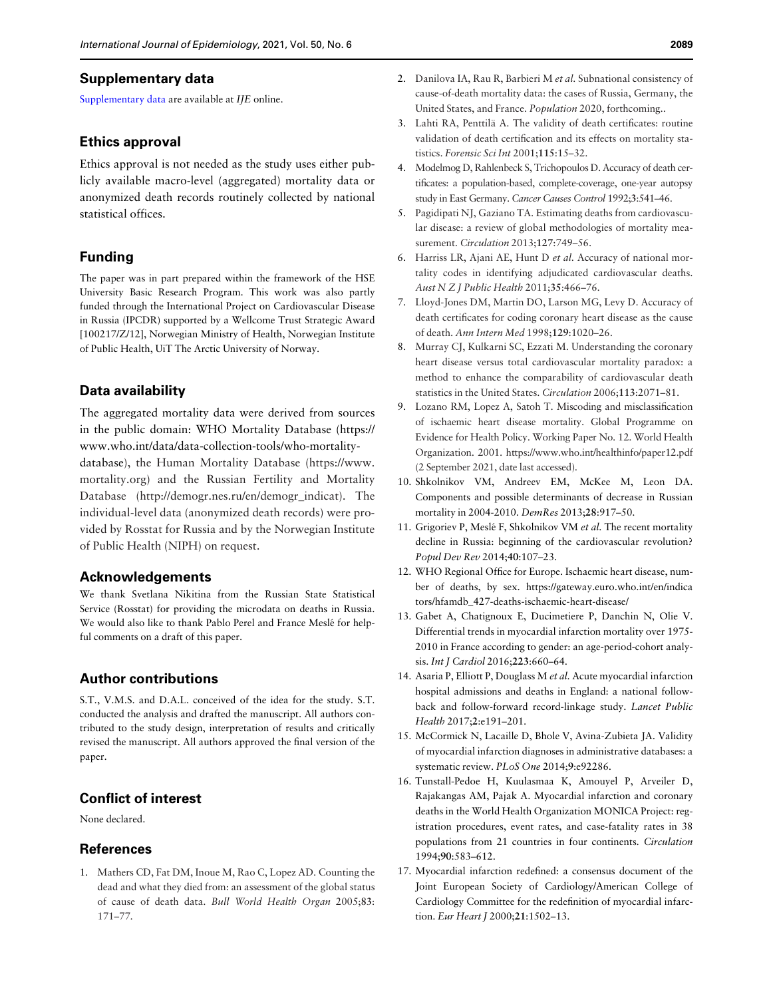#### <span id="page-7-0"></span>Supplementary data

[Supplementary data](https://academic.oup.com/ije/article-lookup/doi/10.1093/ije/dyab188#supplementary-data) are available at IJE online.

#### Ethics approval

Ethics approval is not needed as the study uses either publicly available macro-level (aggregated) mortality data or anonymized death records routinely collected by national statistical offices.

# Funding

The paper was in part prepared within the framework of the HSE University Basic Research Program. This work was also partly funded through the International Project on Cardiovascular Disease in Russia (IPCDR) supported by a Wellcome Trust Strategic Award [100217/Z/12], Norwegian Ministry of Health, Norwegian Institute of Public Health, UiT The Arctic University of Norway.

# Data availability

The aggregated mortality data were derived from sources in the public domain: WHO Mortality Database [\(https://](https://www.who.int/data/data-collection-tools/who-mortality-database) [www.who.int/data/data-collection-tools/who-mortality](https://www.who.int/data/data-collection-tools/who-mortality-database)[database\)](https://www.who.int/data/data-collection-tools/who-mortality-database), the Human Mortality Database [\(https://www.](https://www.mortality.org) [mortality.org](https://www.mortality.org)) and the Russian Fertility and Mortality Database ([http://demogr.nes.ru/en/demogr\\_indicat](http://demogr.nes.ru/en/demogr_indicat)). The individual-level data (anonymized death records) were provided by Rosstat for Russia and by the Norwegian Institute of Public Health (NIPH) on request.

# Acknowledgements

We thank Svetlana Nikitina from the Russian State Statistical Service (Rosstat) for providing the microdata on deaths in Russia. We would also like to thank Pablo Perel and France Meslé for helpful comments on a draft of this paper.

# Author contributions

S.T., V.M.S. and D.A.L. conceived of the idea for the study. S.T. conducted the analysis and drafted the manuscript. All authors contributed to the study design, interpretation of results and critically revised the manuscript. All authors approved the final version of the paper.

# Conflict of interest

None declared.

# **References**

1. Mathers CD, Fat DM, Inoue M, Rao C, Lopez AD. Counting the dead and what they died from: an assessment of the global status of cause of death data. Bull World Health Organ 2005;83: 171–77.

- [2.](#page-1-0) Danilova IA, Rau R, Barbieri M et al. Subnational consistency of cause-of-death mortality data: the cases of Russia, Germany, the United States, and France. Population 2020, forthcoming..
- [3.](#page-2-0) Lahti RA, Penttilä A. The validity of death certificates: routine validation of death certification and its effects on mortality statistics. Forensic Sci Int 2001;115:15–32.
- [4.](#page-2-0) Modelmog D, Rahlenbeck S, Trichopoulos D. Accuracy of death certificates: a population-based, complete-coverage, one-year autopsy study in East Germany. Cancer Causes Control 1992;3:541–46.
- 5. Pagidipati NJ, Gaziano TA. Estimating deaths from cardiovascular disease: a review of global methodologies of mortality measurement. Circulation 2013;127:749–56.
- [6.](#page-2-0) Harriss LR, Ajani AE, Hunt D et al. Accuracy of national mortality codes in identifying adjudicated cardiovascular deaths. Aust N Z J Public Health 2011;35:466–76.
- [7.](#page-2-0) Lloyd-Jones DM, Martin DO, Larson MG, Levy D. Accuracy of death certificates for coding coronary heart disease as the cause of death. Ann Intern Med 1998;129:1020–26.
- 8. Murray CJ, Kulkarni SC, Ezzati M. Understanding the coronary heart disease versus total cardiovascular mortality paradox: a method to enhance the comparability of cardiovascular death statistics in the United States. Circulation 2006;113:2071–81.
- [9.](#page-1-0) Lozano RM, Lopez A, Satoh T. Miscoding and misclassification of ischaemic heart disease mortality. Global Programme on Evidence for Health Policy. Working Paper No. 12. World Health Organization. 2001.<https://www.who.int/healthinfo/paper12.pdf> [\(2 September 2021, date last accessed\).](https://www.who.int/healthinfo/paper12.pdf)
- [10.](#page-1-0) Shkolnikov VM, Andreev EM, McKee M, Leon DA. Components and possible determinants of decrease in Russian mortality in 2004-2010. DemRes 2013;28:917–50.
- [11.](#page-1-0) Grigoriev P, Meslé F, Shkolnikov VM et al. The recent mortality decline in Russia: beginning of the cardiovascular revolution? Popul Dev Rev 2014;40:107–23.
- [12.](#page-1-0) WHO Regional Office for Europe. Ischaemic heart disease, number of deaths, by sex. [https://gateway.euro.who.int/en/indica](https://gateway.euro.who.int/en/indicators/hfamdb_427-deaths-ischaemic-heart-disease/) [tors/hfamdb\\_427-deaths-ischaemic-heart-disease/](https://gateway.euro.who.int/en/indicators/hfamdb_427-deaths-ischaemic-heart-disease/)
- [13.](#page-1-0) Gabet A, Chatignoux E, Ducimetiere P, Danchin N, Olie V. Differential trends in myocardial infarction mortality over 1975- 2010 in France according to gender: an age-period-cohort analysis. Int J Cardiol 2016;223:660–64.
- [14.](#page-1-0) Asaria P, Elliott P, Douglass M et al. Acute myocardial infarction hospital admissions and deaths in England: a national followback and follow-forward record-linkage study. Lancet Public Health 2017;2:e191–201.
- [15.](#page-1-0) McCormick N, Lacaille D, Bhole V, Avina-Zubieta JA. Validity of myocardial infarction diagnoses in administrative databases: a systematic review. PLoS One 2014;9:e92286.
- [16.](#page-5-0) Tunstall-Pedoe H, Kuulasmaa K, Amouyel P, Arveiler D, Rajakangas AM, Pajak A. Myocardial infarction and coronary deaths in the World Health Organization MONICA Project: registration procedures, event rates, and case-fatality rates in 38 populations from 21 countries in four continents. Circulation 1994;90:583–612.
- 17. Myocardial infarction redefined: a consensus document of the Joint European Society of Cardiology/American College of Cardiology Committee for the redefinition of myocardial infarction. Eur Heart J 2000;21:1502–13.